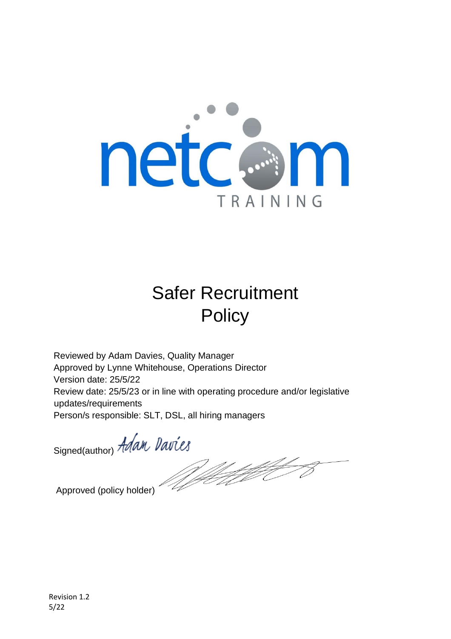

# Safer Recruitment **Policy**

Reviewed by Adam Davies, Quality Manager Approved by Lynne Whitehouse, Operations Director Version date: 25/5/22 Review date: 25/5/23 or in line with operating procedure and/or legislative updates/requirements Person/s responsible: SLT, DSL, all hiring managers

Signed(author) Adam Davies

Welt the

Approved (policy holder)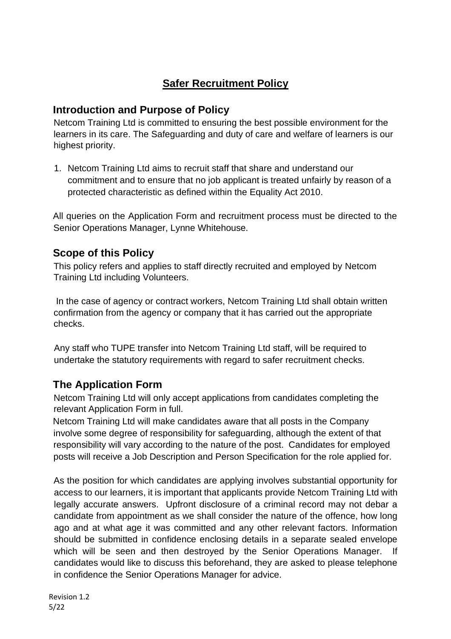# **Safer Recruitment Policy**

#### **Introduction and Purpose of Policy**

Netcom Training Ltd is committed to ensuring the best possible environment for the learners in its care. The Safeguarding and duty of care and welfare of learners is our highest priority.

1. Netcom Training Ltd aims to recruit staff that share and understand our commitment and to ensure that no job applicant is treated unfairly by reason of a protected characteristic as defined within the Equality Act 2010.

All queries on the Application Form and recruitment process must be directed to the Senior Operations Manager, Lynne Whitehouse.

## **Scope of this Policy**

This policy refers and applies to staff directly recruited and employed by Netcom Training Ltd including Volunteers.

In the case of agency or contract workers, Netcom Training Ltd shall obtain written confirmation from the agency or company that it has carried out the appropriate checks.

Any staff who TUPE transfer into Netcom Training Ltd staff, will be required to undertake the statutory requirements with regard to safer recruitment checks.

## **The Application Form**

Netcom Training Ltd will only accept applications from candidates completing the relevant Application Form in full.

Netcom Training Ltd will make candidates aware that all posts in the Company involve some degree of responsibility for safeguarding, although the extent of that responsibility will vary according to the nature of the post. Candidates for employed posts will receive a Job Description and Person Specification for the role applied for.

As the position for which candidates are applying involves substantial opportunity for access to our learners, it is important that applicants provide Netcom Training Ltd with legally accurate answers. Upfront disclosure of a criminal record may not debar a candidate from appointment as we shall consider the nature of the offence, how long ago and at what age it was committed and any other relevant factors. Information should be submitted in confidence enclosing details in a separate sealed envelope which will be seen and then destroyed by the Senior Operations Manager. If candidates would like to discuss this beforehand, they are asked to please telephone in confidence the Senior Operations Manager for advice.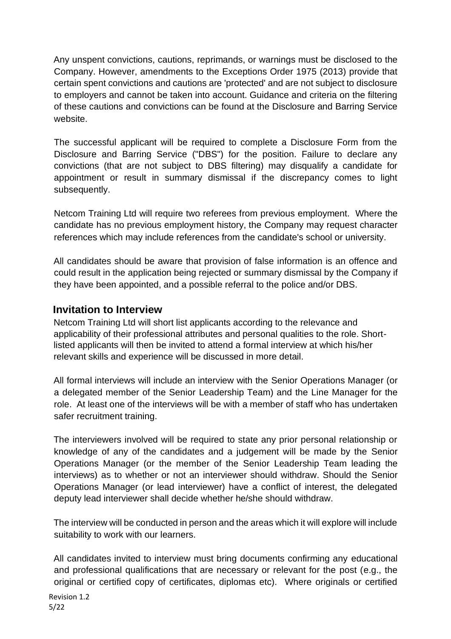Any unspent convictions, cautions, reprimands, or warnings must be disclosed to the Company. However, amendments to the Exceptions Order 1975 (2013) provide that certain spent convictions and cautions are 'protected' and are not subject to disclosure to employers and cannot be taken into account. Guidance and criteria on the filtering of these cautions and convictions can be found at the Disclosure and Barring Service website.

The successful applicant will be required to complete a Disclosure Form from the Disclosure and Barring Service ("DBS") for the position. Failure to declare any convictions (that are not subject to DBS filtering) may disqualify a candidate for appointment or result in summary dismissal if the discrepancy comes to light subsequently.

Netcom Training Ltd will require two referees from previous employment. Where the candidate has no previous employment history, the Company may request character references which may include references from the candidate's school or university.

All candidates should be aware that provision of false information is an offence and could result in the application being rejected or summary dismissal by the Company if they have been appointed, and a possible referral to the police and/or DBS.

#### **Invitation to Interview**

Netcom Training Ltd will short list applicants according to the relevance and applicability of their professional attributes and personal qualities to the role. Shortlisted applicants will then be invited to attend a formal interview at which his/her relevant skills and experience will be discussed in more detail.

All formal interviews will include an interview with the Senior Operations Manager (or a delegated member of the Senior Leadership Team) and the Line Manager for the role. At least one of the interviews will be with a member of staff who has undertaken safer recruitment training.

The interviewers involved will be required to state any prior personal relationship or knowledge of any of the candidates and a judgement will be made by the Senior Operations Manager (or the member of the Senior Leadership Team leading the interviews) as to whether or not an interviewer should withdraw. Should the Senior Operations Manager (or lead interviewer) have a conflict of interest, the delegated deputy lead interviewer shall decide whether he/she should withdraw.

The interview will be conducted in person and the areas which it will explore will include suitability to work with our learners.

All candidates invited to interview must bring documents confirming any educational and professional qualifications that are necessary or relevant for the post (e.g., the original or certified copy of certificates, diplomas etc). Where originals or certified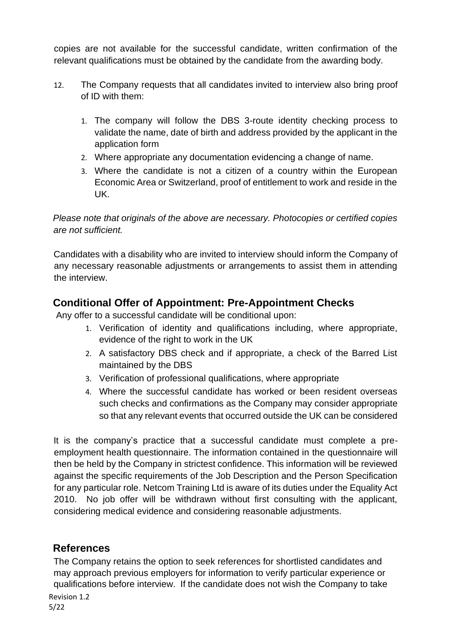copies are not available for the successful candidate, written confirmation of the relevant qualifications must be obtained by the candidate from the awarding body.

- 12. The Company requests that all candidates invited to interview also bring proof of ID with them:
	- 1. The company will follow the DBS 3-route identity checking process to validate the name, date of birth and address provided by the applicant in the application form
	- 2. Where appropriate any documentation evidencing a change of name.
	- 3. Where the candidate is not a citizen of a country within the European Economic Area or Switzerland, proof of entitlement to work and reside in the UK.

*Please note that originals of the above are necessary. Photocopies or certified copies are not sufficient.* 

Candidates with a disability who are invited to interview should inform the Company of any necessary reasonable adjustments or arrangements to assist them in attending the interview.

## **Conditional Offer of Appointment: Pre-Appointment Checks**

Any offer to a successful candidate will be conditional upon:

- 1. Verification of identity and qualifications including, where appropriate, evidence of the right to work in the UK
- 2. A satisfactory DBS check and if appropriate, a check of the Barred List maintained by the DBS
- 3. Verification of professional qualifications, where appropriate
- 4. Where the successful candidate has worked or been resident overseas such checks and confirmations as the Company may consider appropriate so that any relevant events that occurred outside the UK can be considered

It is the company's practice that a successful candidate must complete a preemployment health questionnaire. The information contained in the questionnaire will then be held by the Company in strictest confidence. This information will be reviewed against the specific requirements of the Job Description and the Person Specification for any particular role. Netcom Training Ltd is aware of its duties under the Equality Act 2010. No job offer will be withdrawn without first consulting with the applicant, considering medical evidence and considering reasonable adjustments.

#### **References**

The Company retains the option to seek references for shortlisted candidates and may approach previous employers for information to verify particular experience or qualifications before interview. If the candidate does not wish the Company to take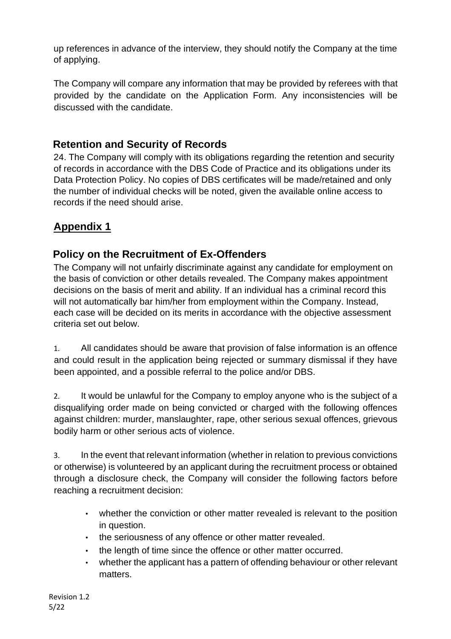up references in advance of the interview, they should notify the Company at the time of applying.

The Company will compare any information that may be provided by referees with that provided by the candidate on the Application Form. Any inconsistencies will be discussed with the candidate.

#### **Retention and Security of Records**

24. The Company will comply with its obligations regarding the retention and security of records in accordance with the DBS Code of Practice and its obligations under its Data Protection Policy. No copies of DBS certificates will be made/retained and only the number of individual checks will be noted, given the available online access to records if the need should arise.

## **Appendix 1**

#### **Policy on the Recruitment of Ex-Offenders**

The Company will not unfairly discriminate against any candidate for employment on the basis of conviction or other details revealed. The Company makes appointment decisions on the basis of merit and ability. If an individual has a criminal record this will not automatically bar him/her from employment within the Company. Instead, each case will be decided on its merits in accordance with the objective assessment criteria set out below.

1. All candidates should be aware that provision of false information is an offence and could result in the application being rejected or summary dismissal if they have been appointed, and a possible referral to the police and/or DBS.

2. It would be unlawful for the Company to employ anyone who is the subject of a disqualifying order made on being convicted or charged with the following offences against children: murder, manslaughter, rape, other serious sexual offences, grievous bodily harm or other serious acts of violence.

3. In the event that relevant information (whether in relation to previous convictions or otherwise) is volunteered by an applicant during the recruitment process or obtained through a disclosure check, the Company will consider the following factors before reaching a recruitment decision:

- whether the conviction or other matter revealed is relevant to the position in question.
- the seriousness of any offence or other matter revealed.
- the length of time since the offence or other matter occurred.
- whether the applicant has a pattern of offending behaviour or other relevant matters.